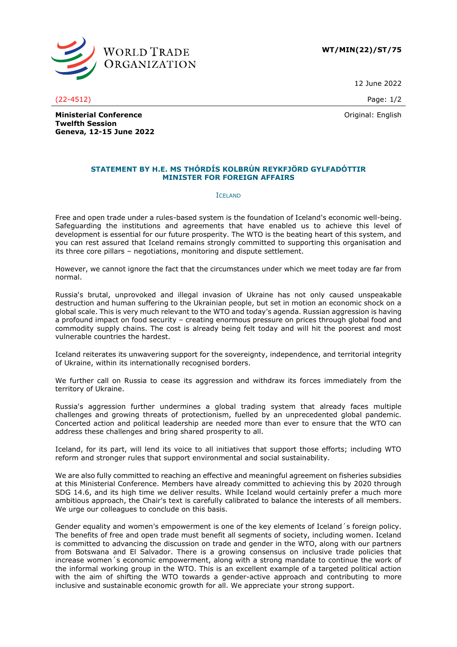

**WT/MIN(22)/ST/75**

12 June 2022

(22-4512) Page: 1/2

Original: English

**Ministerial Conference Twelfth Session**

**Geneva, 12-15 June 2022**

## **STATEMENT BY H.E. MS THÓRDÍS KOLBRÚN REYKFJÖRD GYLFADÓTTIR MINISTER FOR FOREIGN AFFAIRS**

ICELAND

Free and open trade under a rules-based system is the foundation of Iceland's economic well-being. Safeguarding the institutions and agreements that have enabled us to achieve this level of development is essential for our future prosperity. The WTO is the beating heart of this system, and you can rest assured that Iceland remains strongly committed to supporting this organisation and its three core pillars – negotiations, monitoring and dispute settlement.

However, we cannot ignore the fact that the circumstances under which we meet today are far from normal.

Russia's brutal, unprovoked and illegal invasion of Ukraine has not only caused unspeakable destruction and human suffering to the Ukrainian people, but set in motion an economic shock on a global scale. This is very much relevant to the WTO and today's agenda. Russian aggression is having a profound impact on food security – creating enormous pressure on prices through global food and commodity supply chains. The cost is already being felt today and will hit the poorest and most vulnerable countries the hardest.

Iceland reiterates its unwavering support for the sovereignty, independence, and territorial integrity of Ukraine, within its internationally recognised borders.

We further call on Russia to cease its aggression and withdraw its forces immediately from the territory of Ukraine.

Russia's aggression further undermines a global trading system that already faces multiple challenges and growing threats of protectionism, fuelled by an unprecedented global pandemic. Concerted action and political leadership are needed more than ever to ensure that the WTO can address these challenges and bring shared prosperity to all.

Iceland, for its part, will lend its voice to all initiatives that support those efforts; including WTO reform and stronger rules that support environmental and social sustainability.

We are also fully committed to reaching an effective and meaningful agreement on fisheries subsidies at this Ministerial Conference. Members have already committed to achieving this by 2020 through SDG 14.6, and its high time we deliver results. While Iceland would certainly prefer a much more ambitious approach, the Chair's text is carefully calibrated to balance the interests of all members. We urge our colleagues to conclude on this basis.

Gender equality and women's empowerment is one of the key elements of Iceland´s foreign policy. The benefits of free and open trade must benefit all segments of society, including women. Iceland is committed to advancing the discussion on trade and gender in the WTO, along with our partners from Botswana and El Salvador. There is a growing consensus on inclusive trade policies that increase women´s economic empowerment, along with a strong mandate to continue the work of the informal working group in the WTO. This is an excellent example of a targeted political action with the aim of shifting the WTO towards a gender-active approach and contributing to more inclusive and sustainable economic growth for all. We appreciate your strong support.